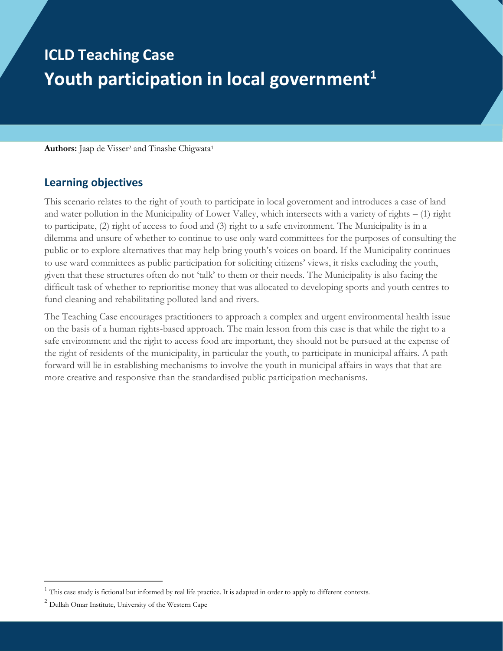# **ICLD Teaching Case Youth participation in local government<sup>1</sup>**

Authors: Jaap de Visser<sup>2</sup> and Tinashe Chigwata<sup>1</sup>

## **Learning objectives**

This scenario relates to the right of youth to participate in local government and introduces a case of land and water pollution in the Municipality of Lower Valley, which intersects with a variety of rights – (1) right to participate, (2) right of access to food and (3) right to a safe environment. The Municipality is in a dilemma and unsure of whether to continue to use only ward committees for the purposes of consulting the public or to explore alternatives that may help bring youth's voices on board. If the Municipality continues to use ward committees as public participation for soliciting citizens' views, it risks excluding the youth, given that these structures often do not 'talk' to them or their needs. The Municipality is also facing the difficult task of whether to reprioritise money that was allocated to developing sports and youth centres to fund cleaning and rehabilitating polluted land and rivers.

The Teaching Case encourages practitioners to approach a complex and urgent environmental health issue on the basis of a human rights-based approach. The main lesson from this case is that while the right to a safe environment and the right to access food are important, they should not be pursued at the expense of the right of residents of the municipality, in particular the youth, to participate in municipal affairs. A path forward will lie in establishing mechanisms to involve the youth in municipal affairs in ways that that are more creative and responsive than the standardised public participation mechanisms.

 $1$  This case study is fictional but informed by real life practice. It is adapted in order to apply to different contexts.

 $2$  Dullah Omar Institute, University of the Western Cape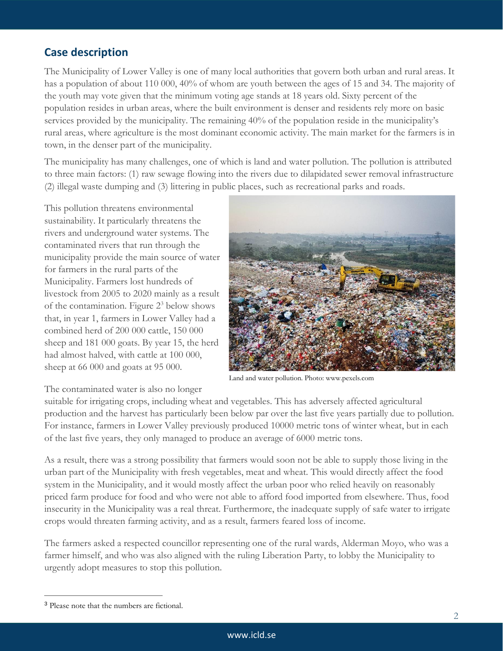# **Case description**

The Municipality of Lower Valley is one of many local authorities that govern both urban and rural areas. It has a population of about 110 000, 40% of whom are youth between the ages of 15 and 34. The majority of the youth may vote given that the minimum voting age stands at 18 years old. Sixty percent of the population resides in urban areas, where the built environment is denser and residents rely more on basic services provided by the municipality. The remaining 40% of the population reside in the municipality's rural areas, where agriculture is the most dominant economic activity. The main market for the farmers is in town, in the denser part of the municipality.

The municipality has many challenges, one of which is land and water pollution. The pollution is attributed to three main factors: (1) raw sewage flowing into the rivers due to dilapidated sewer removal infrastructure (2) illegal waste dumping and (3) littering in public places, such as recreational parks and roads.

This pollution threatens environmental sustainability. It particularly threatens the rivers and underground water systems. The contaminated rivers that run through the municipality provide the main source of water for farmers in the rural parts of the Municipality. Farmers lost hundreds of livestock from 2005 to 2020 mainly as a result of the contamination. Figure  $2<sup>3</sup>$  below shows that, in year 1, farmers in Lower Valley had a combined herd of 200 000 cattle, 150 000 sheep and 181 000 goats. By year 15, the herd had almost halved, with cattle at 100 000, sheep at 66 000 and goats at 95 000.



Land and water pollution. Photo: www.pexels.com

The contaminated water is also no longer

suitable for irrigating crops, including wheat and vegetables. This has adversely affected agricultural production and the harvest has particularly been below par over the last five years partially due to pollution. For instance, farmers in Lower Valley previously produced 10000 metric tons of winter wheat, but in each of the last five years, they only managed to produce an average of 6000 metric tons.

As a result, there was a strong possibility that farmers would soon not be able to supply those living in the urban part of the Municipality with fresh vegetables, meat and wheat. This would directly affect the food system in the Municipality, and it would mostly affect the urban poor who relied heavily on reasonably priced farm produce for food and who were not able to afford food imported from elsewhere. Thus, food insecurity in the Municipality was a real threat. Furthermore, the inadequate supply of safe water to irrigate crops would threaten farming activity, and as a result, farmers feared loss of income.

The farmers asked a respected councillor representing one of the rural wards, Alderman Moyo, who was a farmer himself, and who was also aligned with the ruling Liberation Party, to lobby the Municipality to urgently adopt measures to stop this pollution.

<sup>3</sup> Please note that the numbers are fictional.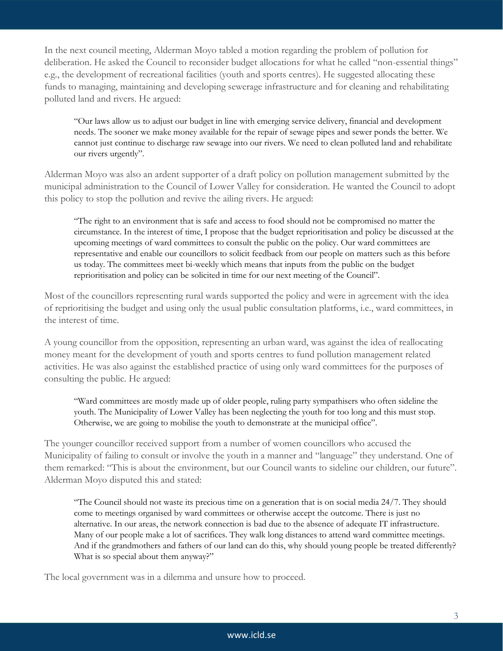In the next council meeting, Alderman Moyo tabled a motion regarding the problem of pollution for deliberation. He asked the Council to reconsider budget allocations for what he called "non-essential things" e.g., the development of recreational facilities (youth and sports centres). He suggested allocating these funds to managing, maintaining and developing sewerage infrastructure and for cleaning and rehabilitating polluted land and rivers. He argued:

"Our laws allow us to adjust our budget in line with emerging service delivery, financial and development needs. The sooner we make money available for the repair of sewage pipes and sewer ponds the better. We cannot just continue to discharge raw sewage into our rivers. We need to clean polluted land and rehabilitate our rivers urgently".

Alderman Moyo was also an ardent supporter of a draft policy on pollution management submitted by the municipal administration to the Council of Lower Valley for consideration. He wanted the Council to adopt this policy to stop the pollution and revive the ailing rivers. He argued:

"The right to an environment that is safe and access to food should not be compromised no matter the circumstance. In the interest of time, I propose that the budget reprioritisation and policy be discussed at the upcoming meetings of ward committees to consult the public on the policy. Our ward committees are representative and enable our councillors to solicit feedback from our people on matters such as this before us today. The committees meet bi-weekly which means that inputs from the public on the budget reprioritisation and policy can be solicited in time for our next meeting of the Council".

Most of the councillors representing rural wards supported the policy and were in agreement with the idea of reprioritising the budget and using only the usual public consultation platforms, i.e., ward committees, in the interest of time.

A young councillor from the opposition, representing an urban ward, was against the idea of reallocating money meant for the development of youth and sports centres to fund pollution management related activities. He was also against the established practice of using only ward committees for the purposes of consulting the public. He argued:

"Ward committees are mostly made up of older people, ruling party sympathisers who often sideline the youth. The Municipality of Lower Valley has been neglecting the youth for too long and this must stop. Otherwise, we are going to mobilise the youth to demonstrate at the municipal office".

The younger councillor received support from a number of women councillors who accused the Municipality of failing to consult or involve the youth in a manner and "language" they understand. One of them remarked: "This is about the environment, but our Council wants to sideline our children, our future". Alderman Moyo disputed this and stated:

"The Council should not waste its precious time on a generation that is on social media 24/7. They should come to meetings organised by ward committees or otherwise accept the outcome. There is just no alternative. In our areas, the network connection is bad due to the absence of adequate IT infrastructure. Many of our people make a lot of sacrifices. They walk long distances to attend ward committee meetings. And if the grandmothers and fathers of our land can do this, why should young people be treated differently? What is so special about them anyway?"

The local government was in a dilemma and unsure how to proceed.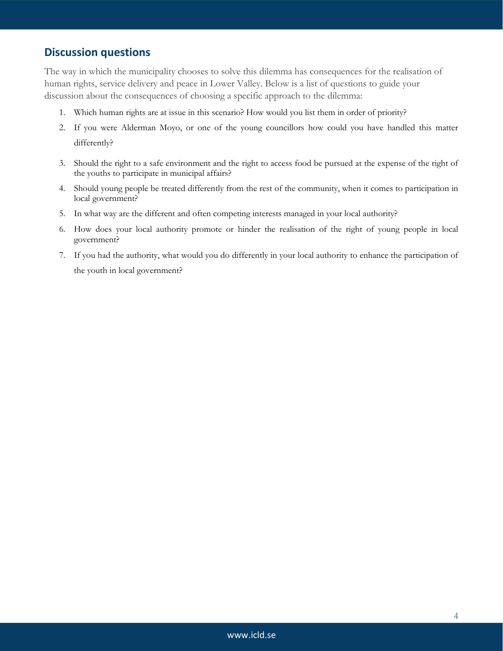#### **Discussion questions**

The way in which the municipality chooses to solve this dilemma has consequences for the realisation of human rights, service delivery and peace in Lower Valley. Below is a list of questions to guide your discussion about the consequences of choosing a specific approach to the dilemma:

- 1. Which human rights are at issue in this scenario? How would you list them in order of priority?
- 2. If you were Alderman Moyo, or one of the young councillors how could you have handled this matter differently?
- 3. Should the right to a safe environment and the right to access food be pursued at the expense of the right of the youths to participate in municipal affairs?
- 4. Should young people be treated differently from the rest of the community, when it comes to participation in local government?
- 5. In what way are the different and often competing interests managed in your local authority?
- 6. How does your local authority promote or hinder the realisation of the right of young people in local government?
- 7. If you had the authority, what would you do differently in your local authority to enhance the participation of the youth in local government?